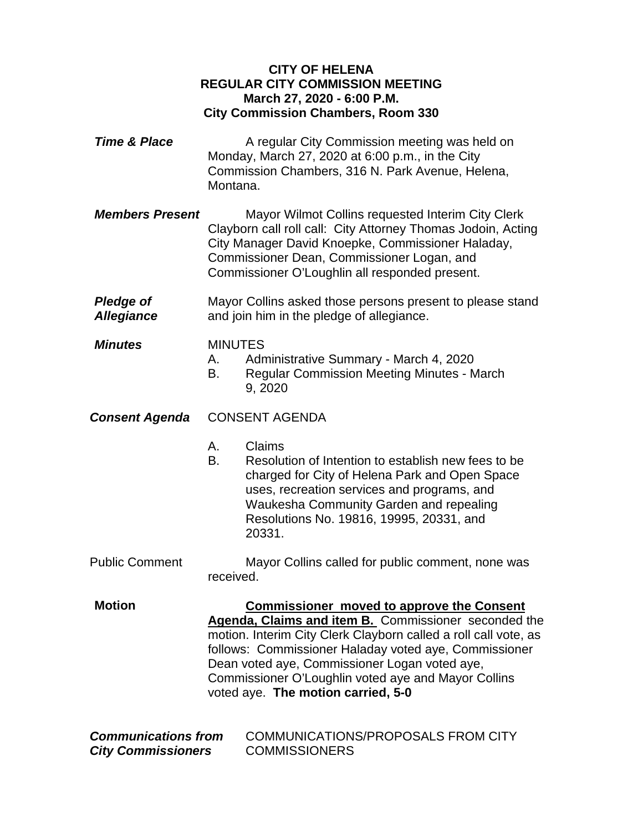## **CITY OF HELENA REGULAR CITY COMMISSION MEETING March 27, 2020 - 6:00 P.M. City Commission Chambers, Room 330**

- **Time & Place** A regular City Commission meeting was held on Monday, March 27, 2020 at 6:00 p.m., in the City Commission Chambers, 316 N. Park Avenue, Helena, Montana.
- *Members Present* Mayor Wilmot Collins requested Interim City Clerk Clayborn call roll call: City Attorney Thomas Jodoin, Acting City Manager David Knoepke, Commissioner Haladay, Commissioner Dean, Commissioner Logan, and Commissioner O'Loughlin all responded present.
- **Pledge of** Mayor Collins asked those persons present to please stand *Allegiance* and join him in the pledge of allegiance.
- *Minutes* MINUTES
	- A. Administrative Summary March 4, 2020
	- B. Regular Commission Meeting Minutes March 9, 2020

## *Consent Agenda* CONSENT AGENDA

- A. Claims
- B. Resolution of Intention to establish new fees to be charged for City of Helena Park and Open Space uses, recreation services and programs, and Waukesha Community Garden and repealing Resolutions No. 19816, 19995, 20331, and 20331.
- Public Comment Mayor Collins called for public comment, none was received.

**Motion Commissioner moved to approve the Consent Agenda, Claims and item B.** Commissioner seconded the motion. Interim City Clerk Clayborn called a roll call vote, as follows: Commissioner Haladay voted aye, Commissioner Dean voted aye, Commissioner Logan voted aye, Commissioner O'Loughlin voted aye and Mayor Collins voted aye. **The motion carried, 5-0**

| <b>Communications from</b> | COMMUNICATIONS/PROPOSALS FROM CITY |
|----------------------------|------------------------------------|
| <b>City Commissioners</b>  | <b>COMMISSIONERS</b>               |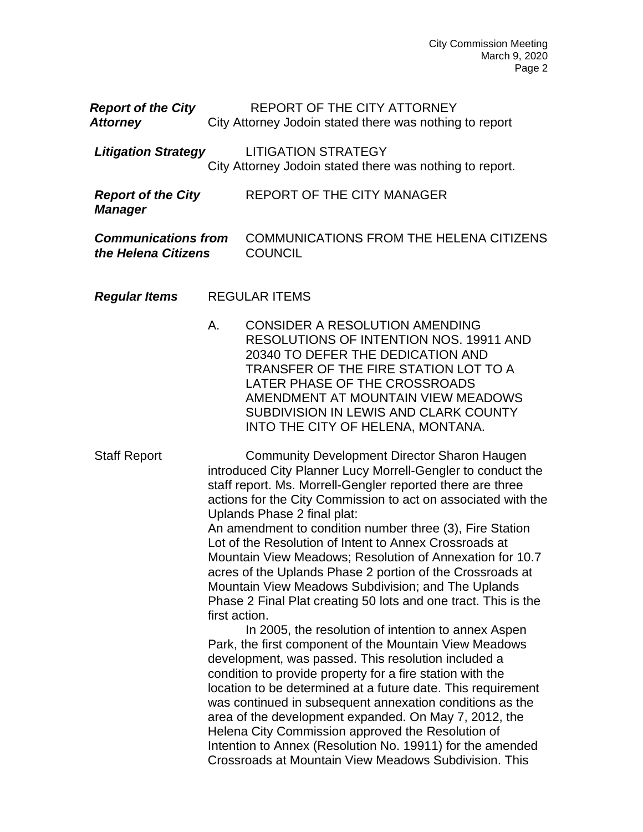| <b>Report of the City</b> | REPORT OF THE CITY ATTORNEY                             |
|---------------------------|---------------------------------------------------------|
| <b>Attorney</b>           | City Attorney Jodoin stated there was nothing to report |

*Litigation Strategy* LITIGATION STRATEGY City Attorney Jodoin stated there was nothing to report.

| <b>Report of the City</b><br><b>Manager</b> | REPORT OF THE CITY MANAGER                     |
|---------------------------------------------|------------------------------------------------|
| <b>Communications from</b>                  | <b>COMMUNICATIONS FROM THE HELENA CITIZENS</b> |
| the Helena Citizens                         | <b>COUNCIL</b>                                 |

- *Regular Items* REGULAR ITEMS
	- A. CONSIDER A RESOLUTION AMENDING RESOLUTIONS OF INTENTION NOS. 19911 AND 20340 TO DEFER THE DEDICATION AND TRANSFER OF THE FIRE STATION LOT TO A LATER PHASE OF THE CROSSROADS AMENDMENT AT MOUNTAIN VIEW MEADOWS SUBDIVISION IN LEWIS AND CLARK COUNTY INTO THE CITY OF HELENA, MONTANA.

Staff Report **Community Development Director Sharon Haugen** introduced City Planner Lucy Morrell-Gengler to conduct the staff report. Ms. Morrell-Gengler reported there are three actions for the City Commission to act on associated with the Uplands Phase 2 final plat:

An amendment to condition number three (3), Fire Station Lot of the Resolution of Intent to Annex Crossroads at Mountain View Meadows; Resolution of Annexation for 10.7 acres of the Uplands Phase 2 portion of the Crossroads at Mountain View Meadows Subdivision; and The Uplands Phase 2 Final Plat creating 50 lots and one tract. This is the first action.

In 2005, the resolution of intention to annex Aspen Park, the first component of the Mountain View Meadows development, was passed. This resolution included a condition to provide property for a fire station with the location to be determined at a future date. This requirement was continued in subsequent annexation conditions as the area of the development expanded. On May 7, 2012, the Helena City Commission approved the Resolution of Intention to Annex (Resolution No. 19911) for the amended Crossroads at Mountain View Meadows Subdivision. This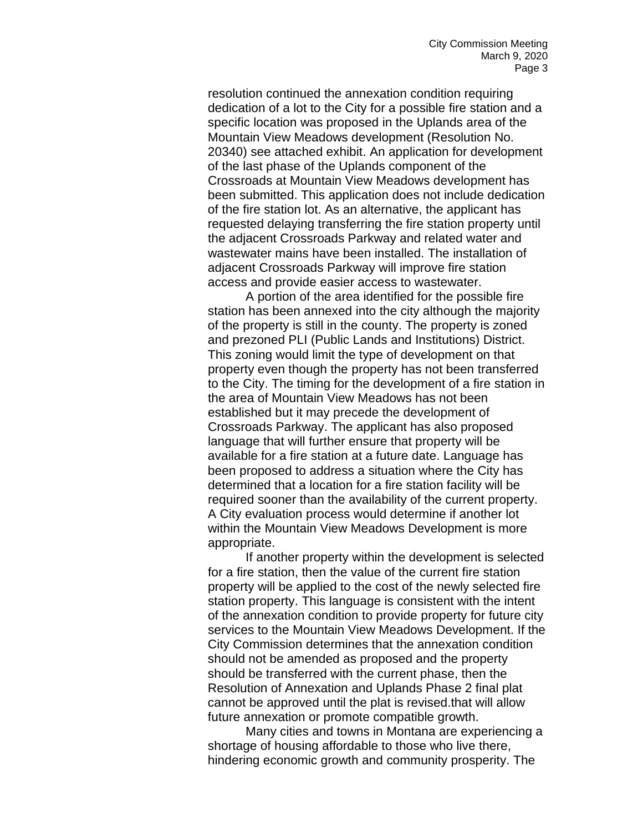resolution continued the annexation condition requiring dedication of a lot to the City for a possible fire station and a specific location was proposed in the Uplands area of the Mountain View Meadows development (Resolution No. 20340) see attached exhibit. An application for development of the last phase of the Uplands component of the Crossroads at Mountain View Meadows development has been submitted. This application does not include dedication of the fire station lot. As an alternative, the applicant has requested delaying transferring the fire station property until the adjacent Crossroads Parkway and related water and wastewater mains have been installed. The installation of adjacent Crossroads Parkway will improve fire station access and provide easier access to wastewater.

A portion of the area identified for the possible fire station has been annexed into the city although the majority of the property is still in the county. The property is zoned and prezoned PLI (Public Lands and Institutions) District. This zoning would limit the type of development on that property even though the property has not been transferred to the City. The timing for the development of a fire station in the area of Mountain View Meadows has not been established but it may precede the development of Crossroads Parkway. The applicant has also proposed language that will further ensure that property will be available for a fire station at a future date. Language has been proposed to address a situation where the City has determined that a location for a fire station facility will be required sooner than the availability of the current property. A City evaluation process would determine if another lot within the Mountain View Meadows Development is more appropriate.

If another property within the development is selected for a fire station, then the value of the current fire station property will be applied to the cost of the newly selected fire station property. This language is consistent with the intent of the annexation condition to provide property for future city services to the Mountain View Meadows Development. If the City Commission determines that the annexation condition should not be amended as proposed and the property should be transferred with the current phase, then the Resolution of Annexation and Uplands Phase 2 final plat cannot be approved until the plat is revised.that will allow future annexation or promote compatible growth.

Many cities and towns in Montana are experiencing a shortage of housing affordable to those who live there, hindering economic growth and community prosperity. The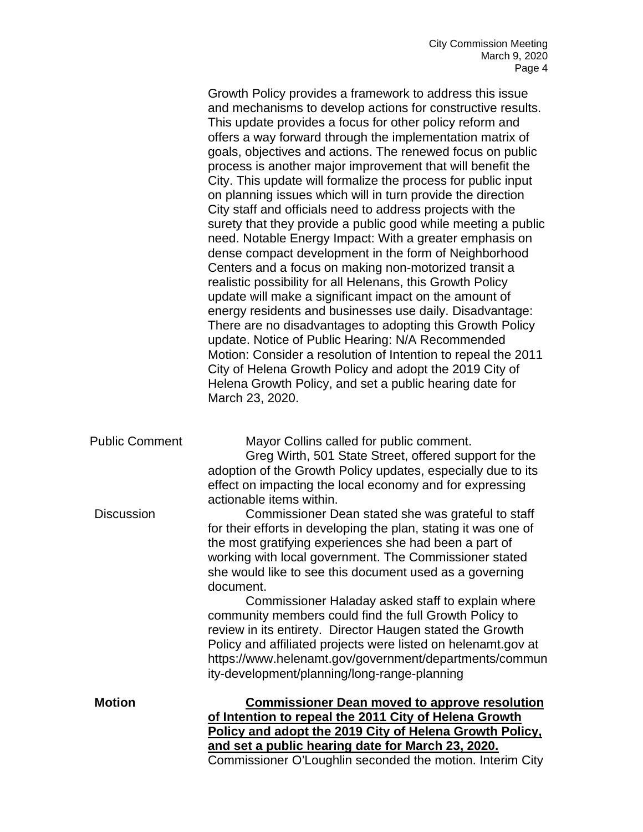|                       | Growth Policy provides a framework to address this issue<br>and mechanisms to develop actions for constructive results.<br>This update provides a focus for other policy reform and<br>offers a way forward through the implementation matrix of<br>goals, objectives and actions. The renewed focus on public<br>process is another major improvement that will benefit the<br>City. This update will formalize the process for public input<br>on planning issues which will in turn provide the direction<br>City staff and officials need to address projects with the<br>surety that they provide a public good while meeting a public<br>need. Notable Energy Impact: With a greater emphasis on<br>dense compact development in the form of Neighborhood<br>Centers and a focus on making non-motorized transit a<br>realistic possibility for all Helenans, this Growth Policy<br>update will make a significant impact on the amount of<br>energy residents and businesses use daily. Disadvantage:<br>There are no disadvantages to adopting this Growth Policy<br>update. Notice of Public Hearing: N/A Recommended<br>Motion: Consider a resolution of Intention to repeal the 2011<br>City of Helena Growth Policy and adopt the 2019 City of<br>Helena Growth Policy, and set a public hearing date for<br>March 23, 2020. |
|-----------------------|------------------------------------------------------------------------------------------------------------------------------------------------------------------------------------------------------------------------------------------------------------------------------------------------------------------------------------------------------------------------------------------------------------------------------------------------------------------------------------------------------------------------------------------------------------------------------------------------------------------------------------------------------------------------------------------------------------------------------------------------------------------------------------------------------------------------------------------------------------------------------------------------------------------------------------------------------------------------------------------------------------------------------------------------------------------------------------------------------------------------------------------------------------------------------------------------------------------------------------------------------------------------------------------------------------------------------------------|
| <b>Public Comment</b> | Mayor Collins called for public comment.<br>Greg Wirth, 501 State Street, offered support for the<br>adoption of the Growth Policy updates, especially due to its<br>effect on impacting the local economy and for expressing                                                                                                                                                                                                                                                                                                                                                                                                                                                                                                                                                                                                                                                                                                                                                                                                                                                                                                                                                                                                                                                                                                            |
| <b>Discussion</b>     | actionable items within.<br>Commissioner Dean stated she was grateful to staff<br>for their efforts in developing the plan, stating it was one of<br>the most gratifying experiences she had been a part of<br>working with local government. The Commissioner stated<br>she would like to see this document used as a governing<br>document.                                                                                                                                                                                                                                                                                                                                                                                                                                                                                                                                                                                                                                                                                                                                                                                                                                                                                                                                                                                            |
|                       | Commissioner Haladay asked staff to explain where<br>community members could find the full Growth Policy to<br>review in its entirety. Director Haugen stated the Growth<br>Policy and affiliated projects were listed on helenamt.gov at<br>https://www.helenamt.gov/government/departments/commun<br>ity-development/planning/long-range-planning                                                                                                                                                                                                                                                                                                                                                                                                                                                                                                                                                                                                                                                                                                                                                                                                                                                                                                                                                                                      |
| <b>Motion</b>         | <b>Commissioner Dean moved to approve resolution</b><br>of Intention to repeal the 2011 City of Helena Growth<br>Policy and adopt the 2019 City of Helena Growth Policy,<br>and set a public hearing date for March 23, 2020.<br>Commissioner O'Loughlin seconded the motion. Interim City                                                                                                                                                                                                                                                                                                                                                                                                                                                                                                                                                                                                                                                                                                                                                                                                                                                                                                                                                                                                                                               |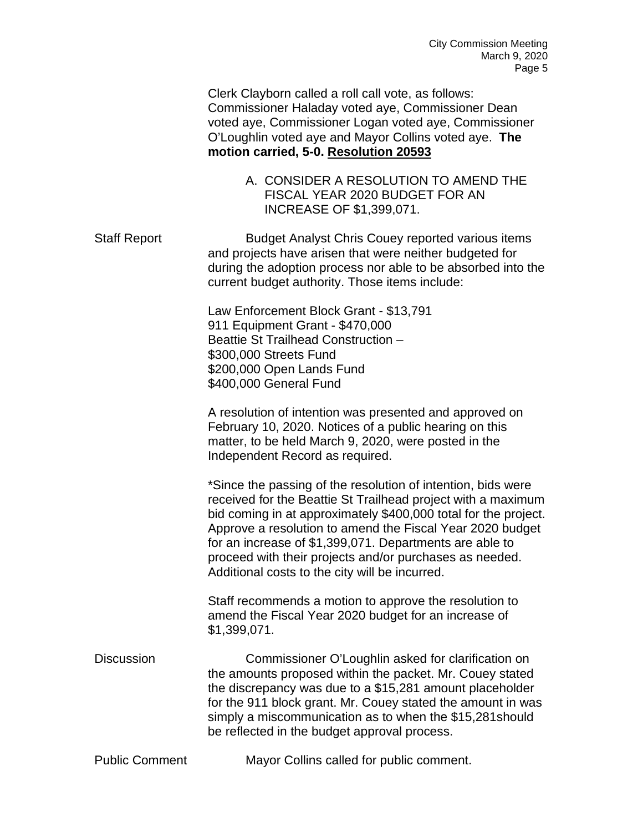| Clerk Clayborn called a roll call vote, as follows:   |
|-------------------------------------------------------|
| Commissioner Haladay voted aye, Commissioner Dean     |
| voted aye, Commissioner Logan voted aye, Commissioner |
| O'Loughlin voted aye and Mayor Collins voted aye. The |
| motion carried, 5-0. Resolution 20593                 |

A. CONSIDER A RESOLUTION TO AMEND THE FISCAL YEAR 2020 BUDGET FOR AN INCREASE OF \$1,399,071.

Staff Report Budget Analyst Chris Couey reported various items and projects have arisen that were neither budgeted for during the adoption process nor able to be absorbed into the current budget authority. Those items include:

> Law Enforcement Block Grant - \$13,791 911 Equipment Grant - \$470,000 Beattie St Trailhead Construction – \$300,000 Streets Fund \$200,000 Open Lands Fund \$400,000 General Fund

A resolution of intention was presented and approved on February 10, 2020. Notices of a public hearing on this matter, to be held March 9, 2020, were posted in the Independent Record as required.

\*Since the passing of the resolution of intention, bids were received for the Beattie St Trailhead project with a maximum bid coming in at approximately \$400,000 total for the project. Approve a resolution to amend the Fiscal Year 2020 budget for an increase of \$1,399,071. Departments are able to proceed with their projects and/or purchases as needed. Additional costs to the city will be incurred.

Staff recommends a motion to approve the resolution to amend the Fiscal Year 2020 budget for an increase of \$1,399,071.

Discussion Commissioner O'Loughlin asked for clarification on the amounts proposed within the packet. Mr. Couey stated the discrepancy was due to a \$15,281 amount placeholder for the 911 block grant. Mr. Couey stated the amount in was simply a miscommunication as to when the \$15,281should be reflected in the budget approval process.

Public Comment Mayor Collins called for public comment.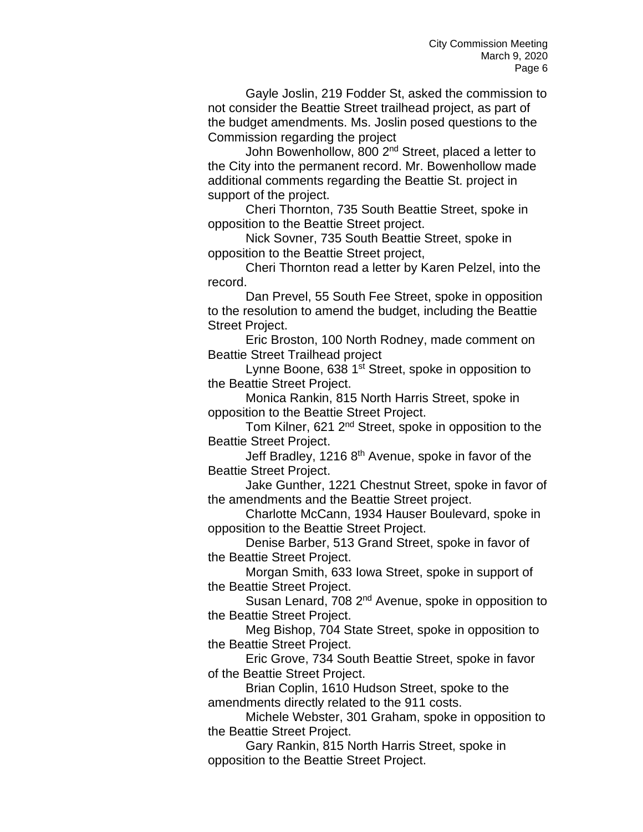Gayle Joslin, 219 Fodder St, asked the commission to not consider the Beattie Street trailhead project, as part of the budget amendments. Ms. Joslin posed questions to the Commission regarding the project

John Bowenhollow, 800 2<sup>nd</sup> Street, placed a letter to the City into the permanent record. Mr. Bowenhollow made additional comments regarding the Beattie St. project in support of the project.

Cheri Thornton, 735 South Beattie Street, spoke in opposition to the Beattie Street project.

Nick Sovner, 735 South Beattie Street, spoke in opposition to the Beattie Street project,

Cheri Thornton read a letter by Karen Pelzel, into the record.

Dan Prevel, 55 South Fee Street, spoke in opposition to the resolution to amend the budget, including the Beattie Street Project.

Eric Broston, 100 North Rodney, made comment on Beattie Street Trailhead project

Lynne Boone, 638 1<sup>st</sup> Street, spoke in opposition to the Beattie Street Project.

Monica Rankin, 815 North Harris Street, spoke in opposition to the Beattie Street Project.

Tom Kilner, 621 2nd Street, spoke in opposition to the Beattie Street Project.

Jeff Bradley, 1216  $8<sup>th</sup>$  Avenue, spoke in favor of the Beattie Street Project.

Jake Gunther, 1221 Chestnut Street, spoke in favor of the amendments and the Beattie Street project.

Charlotte McCann, 1934 Hauser Boulevard, spoke in opposition to the Beattie Street Project.

Denise Barber, 513 Grand Street, spoke in favor of the Beattie Street Project.

Morgan Smith, 633 Iowa Street, spoke in support of the Beattie Street Project.

Susan Lenard, 708 2<sup>nd</sup> Avenue, spoke in opposition to the Beattie Street Project.

Meg Bishop, 704 State Street, spoke in opposition to the Beattie Street Project.

Eric Grove, 734 South Beattie Street, spoke in favor of the Beattie Street Project.

Brian Coplin, 1610 Hudson Street, spoke to the amendments directly related to the 911 costs.

Michele Webster, 301 Graham, spoke in opposition to the Beattie Street Project.

Gary Rankin, 815 North Harris Street, spoke in opposition to the Beattie Street Project.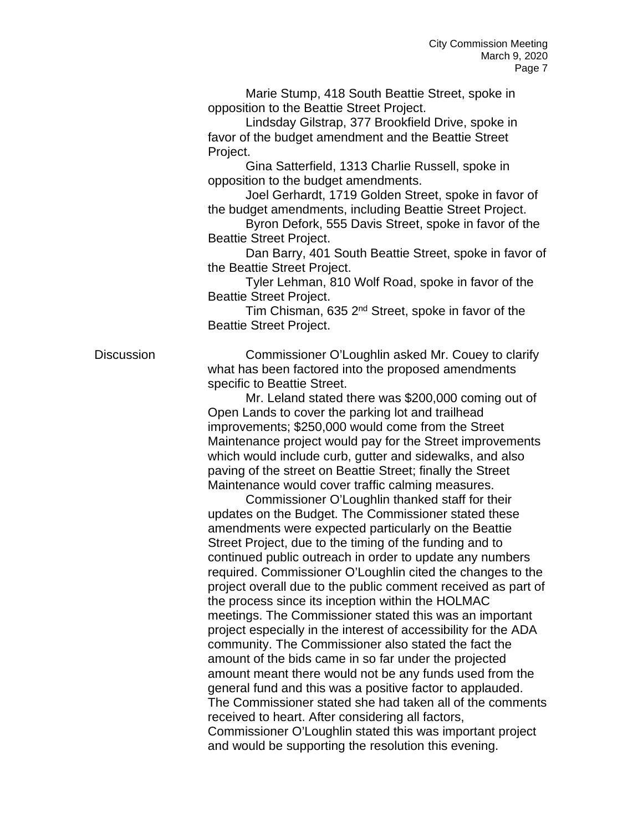Marie Stump, 418 South Beattie Street, spoke in opposition to the Beattie Street Project.

Lindsday Gilstrap, 377 Brookfield Drive, spoke in favor of the budget amendment and the Beattie Street Project.

Gina Satterfield, 1313 Charlie Russell, spoke in opposition to the budget amendments.

Joel Gerhardt, 1719 Golden Street, spoke in favor of the budget amendments, including Beattie Street Project.

Byron Defork, 555 Davis Street, spoke in favor of the Beattie Street Project.

Dan Barry, 401 South Beattie Street, spoke in favor of the Beattie Street Project.

Tyler Lehman, 810 Wolf Road, spoke in favor of the Beattie Street Project.

Tim Chisman, 635 2<sup>nd</sup> Street, spoke in favor of the Beattie Street Project.

Discussion Commissioner O'Loughlin asked Mr. Couey to clarify what has been factored into the proposed amendments specific to Beattie Street.

> Mr. Leland stated there was \$200,000 coming out of Open Lands to cover the parking lot and trailhead improvements; \$250,000 would come from the Street Maintenance project would pay for the Street improvements which would include curb, gutter and sidewalks, and also paving of the street on Beattie Street; finally the Street Maintenance would cover traffic calming measures.

Commissioner O'Loughlin thanked staff for their updates on the Budget. The Commissioner stated these amendments were expected particularly on the Beattie Street Project, due to the timing of the funding and to continued public outreach in order to update any numbers required. Commissioner O'Loughlin cited the changes to the project overall due to the public comment received as part of the process since its inception within the HOLMAC meetings. The Commissioner stated this was an important project especially in the interest of accessibility for the ADA community. The Commissioner also stated the fact the amount of the bids came in so far under the projected amount meant there would not be any funds used from the general fund and this was a positive factor to applauded. The Commissioner stated she had taken all of the comments received to heart. After considering all factors, Commissioner O'Loughlin stated this was important project and would be supporting the resolution this evening.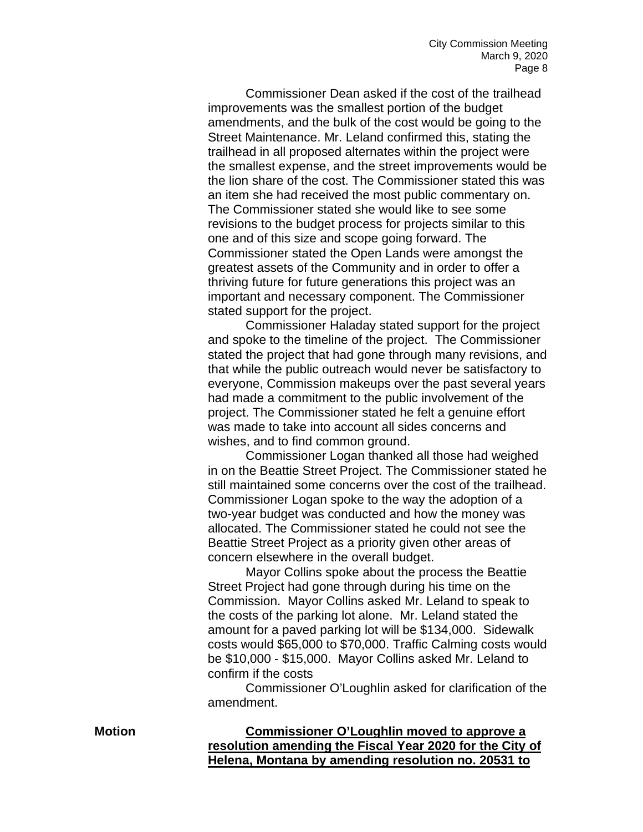Commissioner Dean asked if the cost of the trailhead improvements was the smallest portion of the budget amendments, and the bulk of the cost would be going to the Street Maintenance. Mr. Leland confirmed this, stating the trailhead in all proposed alternates within the project were the smallest expense, and the street improvements would be the lion share of the cost. The Commissioner stated this was an item she had received the most public commentary on. The Commissioner stated she would like to see some revisions to the budget process for projects similar to this one and of this size and scope going forward. The Commissioner stated the Open Lands were amongst the greatest assets of the Community and in order to offer a thriving future for future generations this project was an important and necessary component. The Commissioner stated support for the project.

Commissioner Haladay stated support for the project and spoke to the timeline of the project. The Commissioner stated the project that had gone through many revisions, and that while the public outreach would never be satisfactory to everyone, Commission makeups over the past several years had made a commitment to the public involvement of the project. The Commissioner stated he felt a genuine effort was made to take into account all sides concerns and wishes, and to find common ground.

Commissioner Logan thanked all those had weighed in on the Beattie Street Project. The Commissioner stated he still maintained some concerns over the cost of the trailhead. Commissioner Logan spoke to the way the adoption of a two-year budget was conducted and how the money was allocated. The Commissioner stated he could not see the Beattie Street Project as a priority given other areas of concern elsewhere in the overall budget.

Mayor Collins spoke about the process the Beattie Street Project had gone through during his time on the Commission. Mayor Collins asked Mr. Leland to speak to the costs of the parking lot alone. Mr. Leland stated the amount for a paved parking lot will be \$134,000. Sidewalk costs would \$65,000 to \$70,000. Traffic Calming costs would be \$10,000 - \$15,000. Mayor Collins asked Mr. Leland to confirm if the costs

Commissioner O'Loughlin asked for clarification of the amendment.

**Motion Commissioner O'Loughlin moved to approve a resolution amending the Fiscal Year 2020 for the City of Helena, Montana by amending resolution no. 20531 to**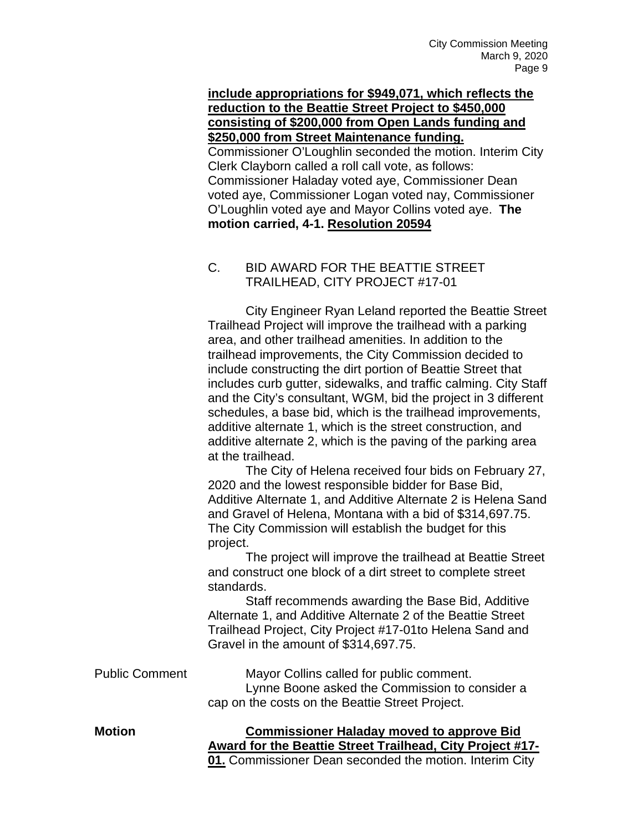**include appropriations for \$949,071, which reflects the reduction to the Beattie Street Project to \$450,000 consisting of \$200,000 from Open Lands funding and \$250,000 from Street Maintenance funding.** Commissioner O'Loughlin seconded the motion. Interim City Clerk Clayborn called a roll call vote, as follows: Commissioner Haladay voted aye, Commissioner Dean voted aye, Commissioner Logan voted nay, Commissioner O'Loughlin voted aye and Mayor Collins voted aye. **The motion carried, 4-1. Resolution 20594**

# C. BID AWARD FOR THE BEATTIE STREET TRAILHEAD, CITY PROJECT #17-01

City Engineer Ryan Leland reported the Beattie Street Trailhead Project will improve the trailhead with a parking area, and other trailhead amenities. In addition to the trailhead improvements, the City Commission decided to include constructing the dirt portion of Beattie Street that includes curb gutter, sidewalks, and traffic calming. City Staff and the City's consultant, WGM, bid the project in 3 different schedules, a base bid, which is the trailhead improvements, additive alternate 1, which is the street construction, and additive alternate 2, which is the paving of the parking area at the trailhead.

The City of Helena received four bids on February 27, 2020 and the lowest responsible bidder for Base Bid, Additive Alternate 1, and Additive Alternate 2 is Helena Sand and Gravel of Helena, Montana with a bid of \$314,697.75. The City Commission will establish the budget for this project.

The project will improve the trailhead at Beattie Street and construct one block of a dirt street to complete street standards.

Staff recommends awarding the Base Bid, Additive Alternate 1, and Additive Alternate 2 of the Beattie Street Trailhead Project, City Project #17-01to Helena Sand and Gravel in the amount of \$314,697.75.

Public Comment Mayor Collins called for public comment. Lynne Boone asked the Commission to consider a cap on the costs on the Beattie Street Project.

**Motion Commissioner Haladay moved to approve Bid Award for the Beattie Street Trailhead, City Project #17- 01.** Commissioner Dean seconded the motion. Interim City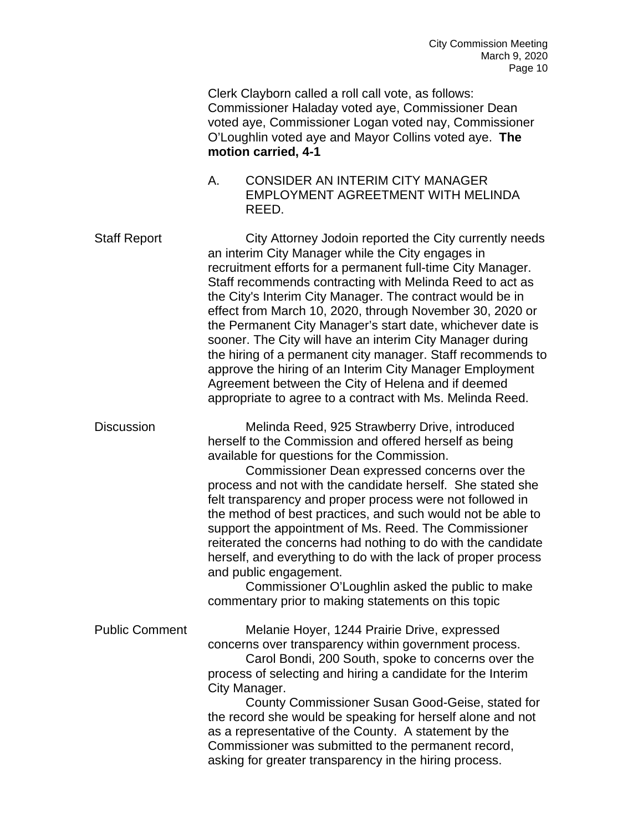Clerk Clayborn called a roll call vote, as follows: Commissioner Haladay voted aye, Commissioner Dean voted aye, Commissioner Logan voted nay, Commissioner O'Loughlin voted aye and Mayor Collins voted aye. **The motion carried, 4-1**

A. CONSIDER AN INTERIM CITY MANAGER EMPLOYMENT AGREETMENT WITH MELINDA REED.

Staff Report City Attorney Jodoin reported the City currently needs an interim City Manager while the City engages in recruitment efforts for a permanent full-time City Manager. Staff recommends contracting with Melinda Reed to act as the City's Interim City Manager. The contract would be in effect from March 10, 2020, through November 30, 2020 or the Permanent City Manager's start date, whichever date is sooner. The City will have an interim City Manager during the hiring of a permanent city manager. Staff recommends to approve the hiring of an Interim City Manager Employment Agreement between the City of Helena and if deemed appropriate to agree to a contract with Ms. Melinda Reed.

Discussion Melinda Reed, 925 Strawberry Drive, introduced herself to the Commission and offered herself as being available for questions for the Commission.

Commissioner Dean expressed concerns over the process and not with the candidate herself. She stated she felt transparency and proper process were not followed in the method of best practices, and such would not be able to support the appointment of Ms. Reed. The Commissioner reiterated the concerns had nothing to do with the candidate herself, and everything to do with the lack of proper process and public engagement.

Commissioner O'Loughlin asked the public to make commentary prior to making statements on this topic

Public Comment Melanie Hoyer, 1244 Prairie Drive, expressed concerns over transparency within government process. Carol Bondi, 200 South, spoke to concerns over the process of selecting and hiring a candidate for the Interim City Manager.

> County Commissioner Susan Good-Geise, stated for the record she would be speaking for herself alone and not as a representative of the County. A statement by the Commissioner was submitted to the permanent record, asking for greater transparency in the hiring process.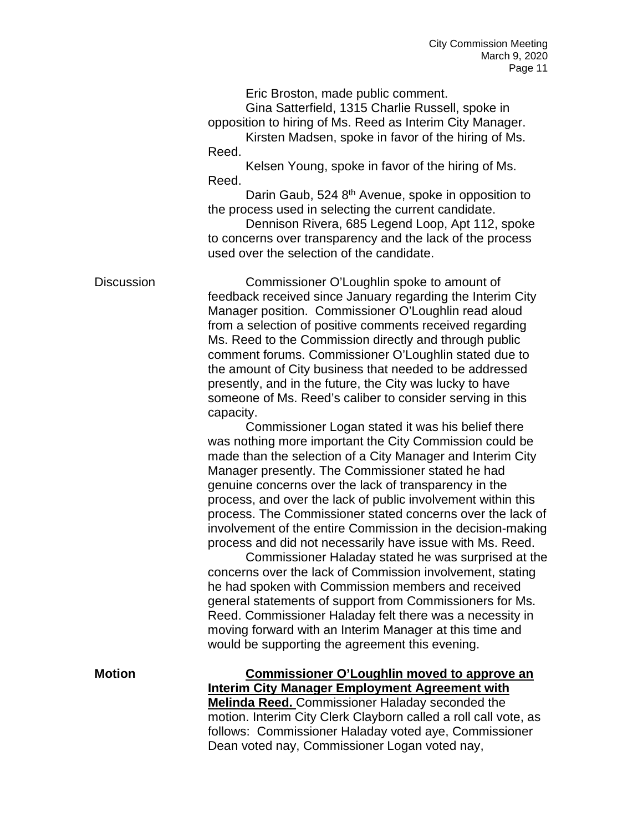Eric Broston, made public comment.

Gina Satterfield, 1315 Charlie Russell, spoke in opposition to hiring of Ms. Reed as Interim City Manager.

Kirsten Madsen, spoke in favor of the hiring of Ms. Reed.

Kelsen Young, spoke in favor of the hiring of Ms. Reed.

Darin Gaub, 524 8<sup>th</sup> Avenue, spoke in opposition to the process used in selecting the current candidate.

Dennison Rivera, 685 Legend Loop, Apt 112, spoke to concerns over transparency and the lack of the process used over the selection of the candidate.

Discussion Commissioner O'Loughlin spoke to amount of feedback received since January regarding the Interim City Manager position. Commissioner O'Loughlin read aloud from a selection of positive comments received regarding Ms. Reed to the Commission directly and through public comment forums. Commissioner O'Loughlin stated due to the amount of City business that needed to be addressed presently, and in the future, the City was lucky to have someone of Ms. Reed's caliber to consider serving in this capacity.

Commissioner Logan stated it was his belief there was nothing more important the City Commission could be made than the selection of a City Manager and Interim City Manager presently. The Commissioner stated he had genuine concerns over the lack of transparency in the process, and over the lack of public involvement within this process. The Commissioner stated concerns over the lack of involvement of the entire Commission in the decision-making process and did not necessarily have issue with Ms. Reed.

Commissioner Haladay stated he was surprised at the concerns over the lack of Commission involvement, stating he had spoken with Commission members and received general statements of support from Commissioners for Ms. Reed. Commissioner Haladay felt there was a necessity in moving forward with an Interim Manager at this time and would be supporting the agreement this evening.

**Motion Commissioner O'Loughlin moved to approve an Interim City Manager Employment Agreement with Melinda Reed.** Commissioner Haladay seconded the motion. Interim City Clerk Clayborn called a roll call vote, as follows: Commissioner Haladay voted aye, Commissioner Dean voted nay, Commissioner Logan voted nay,